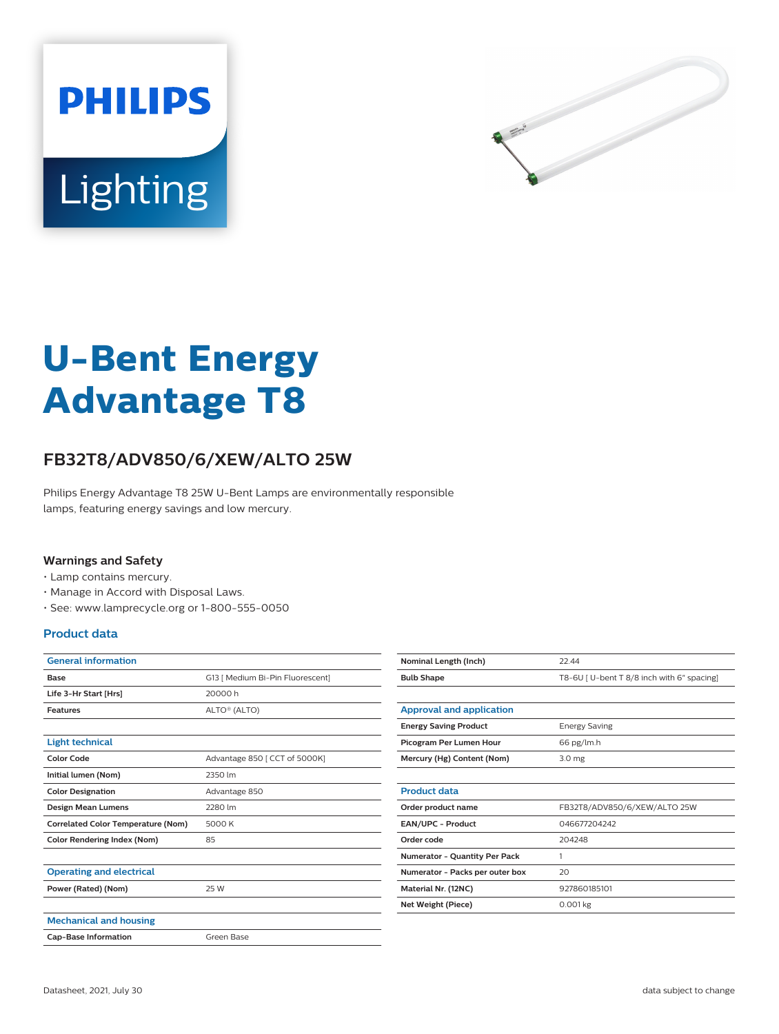



# **U-Bent Energy Advantage T8**

## **FB32T8/ADV850/6/XEW/ALTO 25W**

Philips Energy Advantage T8 25W U-Bent Lamps are environmentally responsible lamps, featuring energy savings and low mercury.

#### **Warnings and Safety**

- Lamp contains mercury.
- Manage in Accord with Disposal Laws.
- See: www.lamprecycle.org or 1-800-555-0050

#### **Product data**

| <b>General information</b>                |                                  |
|-------------------------------------------|----------------------------------|
| Base                                      | G13   Medium Bi-Pin Fluorescent] |
| Life 3-Hr Start [Hrs]                     | 20000 h                          |
| <b>Features</b>                           | ALTO® (ALTO)                     |
|                                           |                                  |
| <b>Light technical</b>                    |                                  |
| Color Code                                | Advantage 850   CCT of 5000K]    |
| Initial lumen (Nom)                       | 2350 lm                          |
| <b>Color Designation</b>                  | Advantage 850                    |
| <b>Design Mean Lumens</b>                 | 2280 lm                          |
| <b>Correlated Color Temperature (Nom)</b> | 5000 K                           |
| <b>Color Rendering Index (Nom)</b>        | 85                               |
|                                           |                                  |
| <b>Operating and electrical</b>           |                                  |
| Power (Rated) (Nom)                       | 25 W                             |
|                                           |                                  |
| <b>Mechanical and housing</b>             |                                  |
| <b>Cap-Base Information</b>               | Green Base                       |

| Nominal Length (Inch)           | 22.44                                     |
|---------------------------------|-------------------------------------------|
| <b>Bulb Shape</b>               | T8-6U [U-bent T 8/8 inch with 6" spacing] |
|                                 |                                           |
| <b>Approval and application</b> |                                           |
| <b>Energy Saving Product</b>    | <b>Energy Saving</b>                      |
| Picogram Per Lumen Hour         | 66 pg/lm.h                                |
| Mercury (Hg) Content (Nom)      | 3.0 <sub>mg</sub>                         |
|                                 |                                           |
| <b>Product data</b>             |                                           |
| Order product name              | FB32T8/ADV850/6/XEW/ALTO 25W              |
| <b>EAN/UPC - Product</b>        | 046677204242                              |
| Order code                      | 204248                                    |
| Numerator - Quantity Per Pack   | 1                                         |
| Numerator - Packs per outer box | 20                                        |
| Material Nr. (12NC)             | 927860185101                              |
| Net Weight (Piece)              | $0.001$ kg                                |
|                                 |                                           |